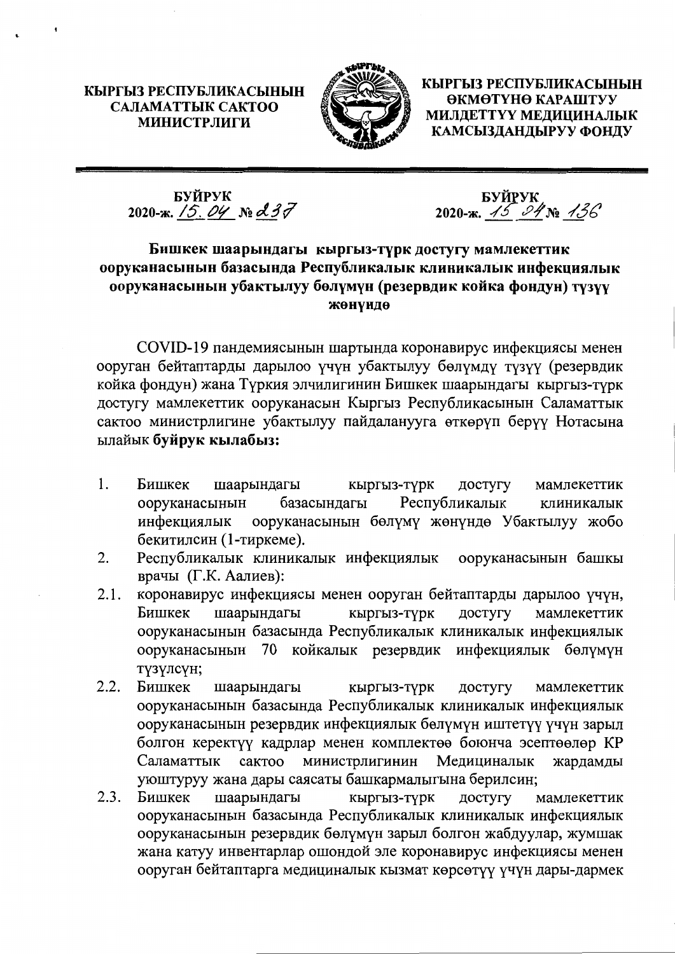КЫРГЫЗ РЕСПУБЛИКАСЫНЫН САЛАМАТТЫК САКТОО **МИНИСТРЛИГИ** 



КЫРГЫЗ РЕСПУБЛИКАСЫНЫН ӨКМӨТҮНӨ КАРАШТУУ МИЛДЕТТҮҮ МЕДИЦИНАЛЫК КАМСЫЗДАНДЫРУУ ФОНДУ

БУЙРУК<br>2020-ж. <u>/5, *04* № &</u> 37

**SYЙPYK**<br>2020-ж. <u>45 24 No 43</u>6

# Бишкек шаарындагы кыргыз-түрк достугу мамлекеттик ооруканасынын базасында Республикалык клиникалык инфекциялык ооруканасынын убактылуу бөлүмүн (резервдик койка фондун) түзүү жөнүндө

COVID-19 пандемиясынын шартында коронавирус инфекциясы менен ооруган бейтаптарды дарылоо үчүн убактылуу бөлүмдү түзүү (резервдик койка фондун) жана Түркия элчилигинин Бишкек шаарындагы кыргыз-түрк достугу мамлекеттик ооруканасын Кыргыз Республикасынын Саламаттык сактоо министрлигине убактылуу пайдаланууга өткөрүп берүү Нотасына ылайык буйрук кылабыз:

- $1<sup>1</sup>$ Бишкек кыргыз-түрк шаарындагы достугу мамлекеттик ооруканасынын базасындагы Республикалык клиникалык инфекциялык ооруканасынын бөлүмү жөнүндө Убактылуу жобо бекитилсин (1-тиркеме).
- Республикалык клиникалык инфекциялык  $\overline{2}$ . ооруканасынын башкы врачы (Г.К. Аалиев):
- коронавирус инфекциясы менен ооруган бейтаптарды дарылоо үчүн,  $2.1.$ шаарындагы Бишкек кыргыз-түрк достугу мамлекеттик ооруканасынын базасында Республикалык клиникалык инфекциялык ооруканасынын 70 койкалык резервдик инфекциялык бөлүмүн түзүлсүн;
- $2.2.$ Бишкек кыргыз-түрк шаарындагы достугу мамлекеттик ооруканасынын базасында Республикалык клиникалык инфекциялык ооруканасынын резервдик инфекциялык бөлүмүн иштетүү үчүн зарыл болгон керектүү кадрлар менен комплектөө боюнча эсептөөлөр КР министрлигинин Саламаттык сактоо Медициналык жардамды уюштуруу жана дары саясаты башкармалыгына берилсин;
- достугу  $2.3.$ Бишкек шаарындагы кыргыз-түрк мамлекеттик ооруканасынын базасында Республикалык клиникалык инфекциялык ооруканасынын резервдик бөлүмүн зарыл болгон жабдуулар, жумшак жана катуу инвентарлар ошондой эле коронавирус инфекциясы менен ооруган бейтаптарга медициналык кызмат көрсөтүү үчүн дары-дармек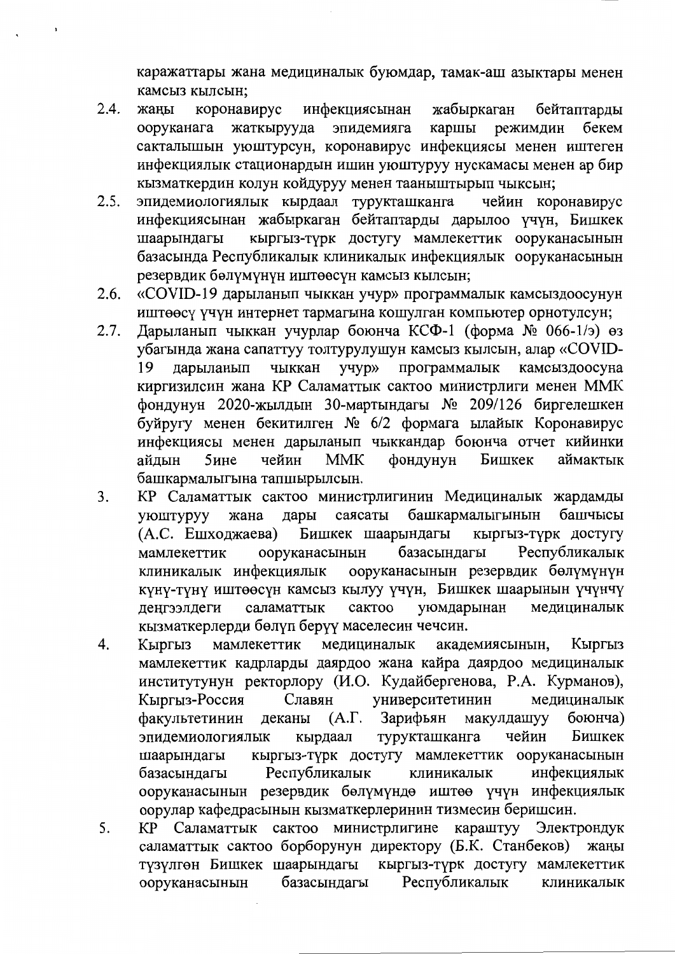каражаттары жана медициналык буюмдар, тамак-аш азыктары менен камсыз кылсын;

- $2.4.$ жаны коронавирус инфекциясынан жабыркаган бейтаптарды жаткырууда каршы бекем ооруканага эпидемияга режимдин сакталышын уюштурсун, коронавирус инфекциясы менен иштеген инфекциялык стационардын ишин уюштуруу нускамасы менен ар бир кызматкердин колун койдуруу менен тааныштырып чыксын;
- $2.5.$ эпидемиологиялык кырдаал турукташканга чейин коронавирус инфекциясынан жабыркаган бейтаптарды дарылоо үчүн, Бишкек кыргыз-түрк достугу мамлекеттик ооруканасынын шаарындагы базасында Республикалык клиникалык инфекциялык ооруканасынын резервдик бөлүмүнүн иштөөсүн камсыз кылсын;
- $2.6.$ «COVID-19 дарыланып чыккан учур» программалык камсыздоосунун иштөөсү үчүн интернет тармагына кошулган компьютер орнотулсун;
- Дарыланып чыккан учурлар боюнча КСФ-1 (форма № 066-1/э) өз  $2.7.$ убагында жана сапаттуу толтурулушун камсыз кылсын, алар «COVIDчыккан учур» программалык камсыздоосуна 19 дарыланып киргизилсин жана КР Саламаттык сактоо министрлиги менен ММК фондунун 2020-жылдын 30-мартындагы № 209/126 биргелешкен буйругу менен бекитилген № 6/2 формага ылайык Коронавирус инфекциясы менен дарыланып чыккандар боюнча отчет кийинки айлын  $5$ ине чейин **MMK** фондунун Бишкек аймактык башкармалыгына тапшырылсын.
- $\overline{3}$ . КР Саламаттык сактоо министрлигинин Медициналык жардамды саясаты башкармалыгынын башчысы уюштуруу жана лары (А.С. Ешходжаева) Бишкек шаарындагы кыргыз-түрк достугу базасындагы Республикалык мамлекеттик ооруканасынын ооруканасынын резервдик бөлүмүнүн клиникалык инфекциялык күнү-түнү иштөөсүн камсыз кылуу үчүн, Бишкек шаарынын үчүнчү саламаттык сактоо уюмдарынан медициналык ленгээлдеги кызматкерлерди бөлүп берүү маселесин чечсин.
- 4. медициналык Кыргыз Кыргыз мамлекеттик академиясынын, мамлекеттик кадрларды даярдоо жана кайра даярдоо медициналык институтунун ректорлору (И.О. Кудайбергенова, Р.А. Курманов), Кыргыз-Россия университетинин Славян медициналык факультетинин  $(A.\Gamma.$ Зарифьян макулдашуу боюнча) деканы турукташканга чейин Бишкек эпидемиологиялык кырдаал шаарындагы кыргыз-түрк достугу мамлекеттик ооруканасынын Республикалык базасындагы инфекциялык клиникалык ооруканасынын резервдик бөлүмүндө иштөө үчүн инфекциялык оорулар кафедрасынын кызматкерлеринин тизмесин беришсин.
- КР Саламаттык сактоо министрлигине караштуу Электрондук  $5<sub>1</sub>$ саламаттык сактоо борборунун директору (Б.К. Станбеков) жаңы түзүлгөн Бишкек шаарындагы кыргыз-түрк достугу мамлекеттик базасындагы Республикалык ооруканасынын клиникалык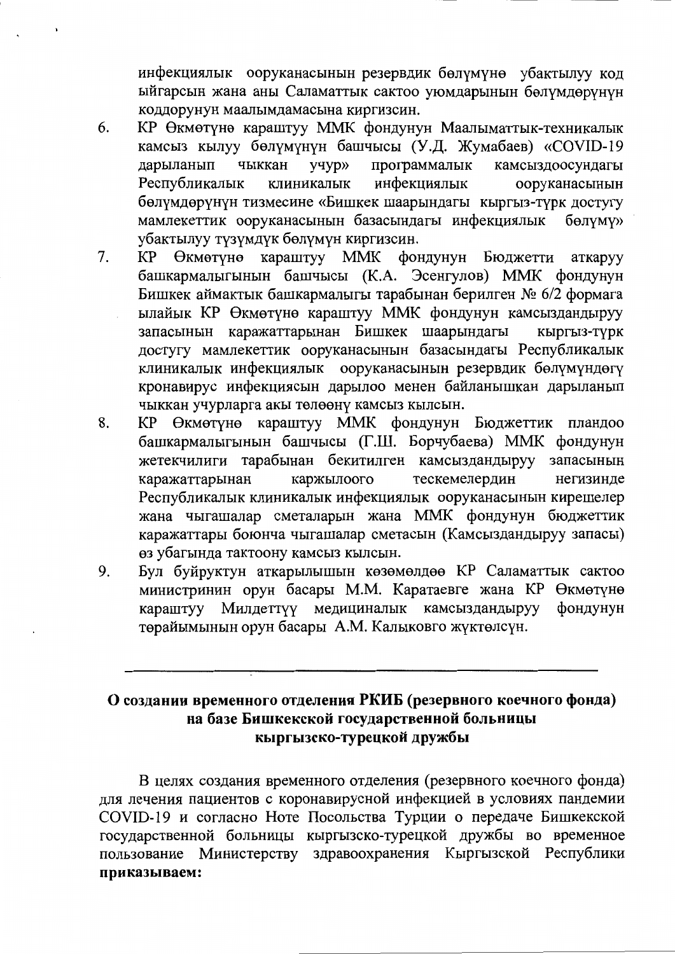инфекциялык ооруканасынын резервдик бөлүмүнө убактылуу код ыйгарсын жана аны Саламаттык сактоо уюмдарынын бөлүмдөрүнүн коддорунун маалымдамасына киргизсин.

- 6. КР Өкмөтүнө караштуу ММК фондунун Маалыматтык-техникалык камсыз кылуу бөлүмүнүн башчысы (У.Д. Жумабаев) «СОVID-19 чыккан программалык дарыланып учур» камсыздоосундагы Республикалык инфекциялык клиникалык ооруканасынын бөлүмдөрүнүн тизмесине «Бишкек шаарындагы кыргыз-түрк достугу мамлекеттик ооруканасынын базасындагы инфекциялык бөлүмү» убактылуу түзүмдүк бөлүмүн киргизсин.
- КР Өкмөтүнө караштуу ММК фондунун Бюджетти  $7<sub>1</sub>$ аткаруу башкармалыгынын башчысы (К.А. Эсенгулов) ММК фондунун Бишкек аймактык башкармалыгы тарабынан берилген № 6/2 формага ылайык КР Өкмөтүнө караштуу ММК фондунун камсыздандыруу запасынын каражаттарынан Бишкек шаарындагы КЫРГЫЗ-ТУРК достугу мамлекеттик ооруканасынын базасындагы Республикалык клиникалык инфекциялык ооруканасынын резервдик бөлүмүндөгү кронавирус инфекциясын дарылоо менен байланышкан дарыланып чыккан учурларга акы төлөөнү камсыз кылсын.
- 8. КР Өкмөтүнө караштуу ММК фондунун Бюджеттик пландоо башкармалыгынын башчысы (Г.Ш. Борчубаева) ММК фондунун жетекчилиги тарабынан бекитилген камсыздандыруу запасынын каржылоого тескемелердин каражаттарынан негизинде Республикалык клиникалык инфекциялык ооруканасынын кирешелер жана чыгашалар сметаларын жана ММК фондунун бюджеттик каражаттары боюнча чыгашалар сметасын (Камсыздандыруу запасы) өз убагында тактоону камсыз кылсын.
- 9. Бул буйруктун аткарылышын көзөмөлдөө КР Саламаттык сактоо министринин орун басары М.М. Каратаевге жана КР Өкмөтүнө караштуу Милдеттүү медициналык камсыздандыруу фондунун төрайымынын орун басары А.М. Калыковго жүктөлсүн.

# О создании временного отделения РКИБ (резервного коечного фонда) на базе Бишкекской государственной больницы кыргызско-турецкой дружбы

В целях создания временного отделения (резервного коечного фонда) для лечения пациентов с коронавирусной инфекцией в условиях пандемии COVID-19 и согласно Ноте Посольства Турции о передаче Бишкекской государственной больницы кыргызско-турецкой дружбы во временное пользование Министерству здравоохранения Кыргызской Республики приказываем: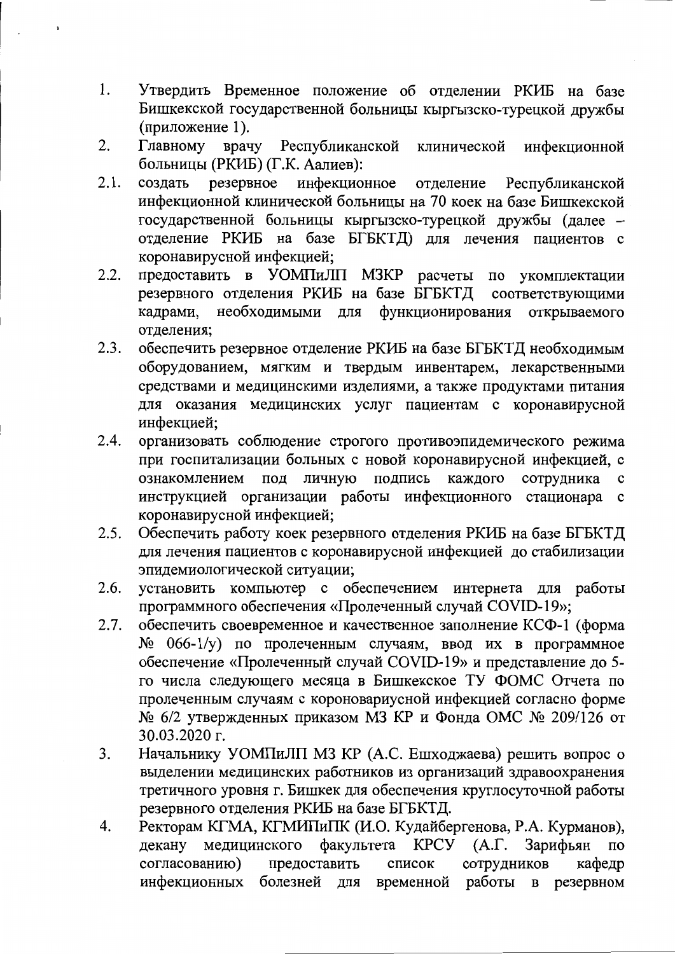- 1. Утвердить Временное положение об отделении РКИБ на базе Бишкекской государственной больницы кыргызско-турецкой дружбы (приложение 1).
- 2. Главному врачу Республиканской клинической инфекционной больницы (РКИБ) (Г.К. Аалиев):
- $2.1.$ резервное инфекционное создать Республиканской отделение инфекционной клинической больницы на 70 коек на базе Бишкекской государственной больницы кыргызско-турецкой дружбы (далее отделение РКИБ на базе БГБКТД) для лечения пациентов с коронавирусной инфекцией;
- предоставить в УОМПиЛП МЗКР расчеты по укомплектации  $2.2.$ резервного отделения РКИБ на базе БГБКТД соответствующими кадрами, необходимыми для функционирования открываемого отделения:
- $2.3.$ обеспечить резервное отделение РКИБ на базе БГБКТД необходимым оборудованием, мягким и твердым инвентарем, лекарственными средствами и медицинскими изделиями, а также продуктами питания для оказания медицинских услуг пациентам с коронавирусной инфекцией:
- $2.4.$ организовать соблюдение строгого противоэпидемического режима при госпитализации больных с новой коронавирусной инфекцией, с под личную подпись ознакомлением каждого сотрудника  $\mathbf c$ инструкцией организации работы инфекционного стационара с коронавирусной инфекцией;
- $2.5.$ Обеспечить работу коек резервного отделения РКИБ на базе БГБКТД для лечения пациентов с коронавирусной инфекцией до стабилизации эпидемиологической ситуации;
- установить компьютер с обеспечением интернета для работы  $2.6.$ программного обеспечения «Пролеченный случай COVID-19»;
- обеспечить своевременное и качественное заполнение КСФ-1 (форма  $2.7.$ № 066-1/у) по пролеченным случаям, ввод их в программное обеспечение «Пролеченный случай COVID-19» и представление до 5го числа следующего месяца в Бишкекское ТУ ФОМС Отчета по пролеченным случаям с короновариусной инфекцией согласно форме № 6/2 утвержденных приказом МЗ КР и Фонда ОМС № 209/126 от 30.03.2020 г.
- $3<sub>1</sub>$ Начальнику УОМПиЛП МЗ КР (А.С. Ешходжаева) решить вопрос о выделении медицинских работников из организаций здравоохранения третичного уровня г. Бишкек для обеспечения круглосуточной работы резервного отделения РКИБ на базе БГБКТД.
- Ректорам КГМА, КГМИПиПК (И.О. Кудайбергенова, Р.А. Курманов),  $\overline{4}$ . факультета КРСУ (А.Г. декану медицинского Зарифьян  $\overline{a}$ согласованию) предоставить кафедр список сотрудников инфекционных болезней для временной работы в резервном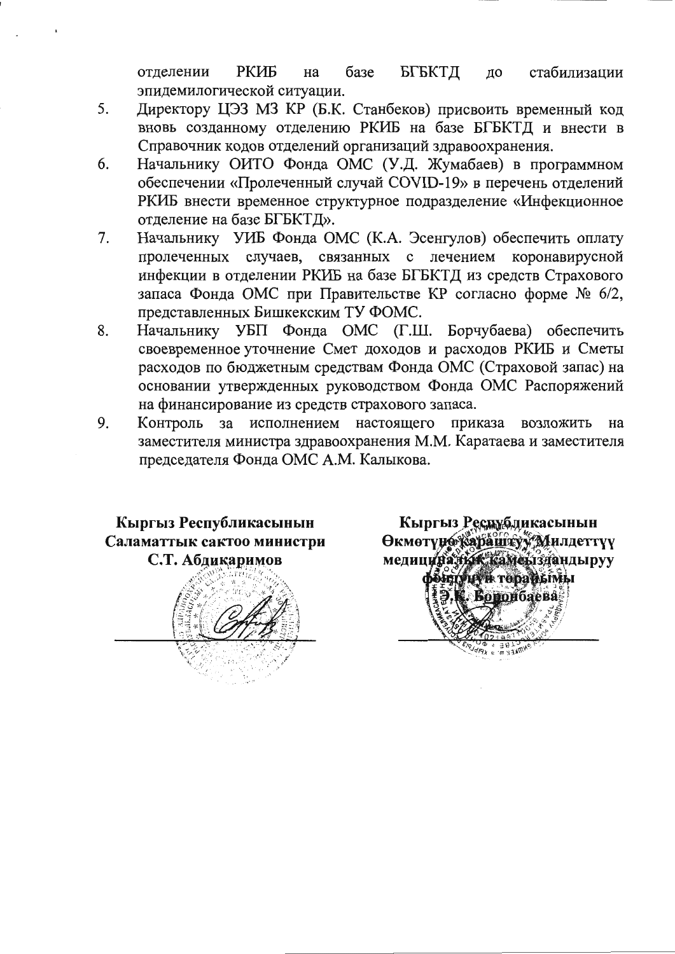РКИБ базе БГБКТД стабилизации отделении на  $\pi$ o эпидемилогической ситуации.

- Директору ЦЭЗ МЗ КР (Б.К. Станбеков) присвоить временный код  $5<sub>1</sub>$ вновь созданному отделению РКИБ на базе БГБКТД и внести в Справочник кодов отделений организаций здравоохранения.
- Начальнику ОИТО Фонда ОМС (У.Д. Жумабаев) в программном 6. обеспечении «Пролеченный случай COVID-19» в перечень отделений РКИБ внести временное структурное подразделение «Инфекционное отделение на базе БГБКТД».
- Начальнику УИБ Фонда ОМС (К.А. Эсенгулов) обеспечить оплату 7. пролеченных случаев, связанных с лечением коронавирусной инфекции в отделении РКИБ на базе БГБКТД из средств Страхового запаса Фонда ОМС при Правительстве КР согласно форме № 6/2, представленных Бишкекским ТУ ФОМС.
- 8. Начальнику УБП Фонда ОМС (Г.Ш. Борчубаева) обеспечить своевременное уточнение Смет доходов и расходов РКИБ и Сметы расходов по бюджетным средствам Фонда ОМС (Страховой запас) на основании утвержденных руководством Фонда ОМС Распоряжений на финансирование из средств страхового запаса.
- Контроль за исполнением настоящего 9. приказа возложить на заместителя министра здравоохранения М.М. Каратаева и заместителя председателя Фонда ОМС А.М. Калыкова.



Кыргыз Республикасынын **Өкмөтүнө караштуу Милдеттүү** медицинальж камеыздандыруу **POILTVLEY IK TODA WEINILI Боронбаева**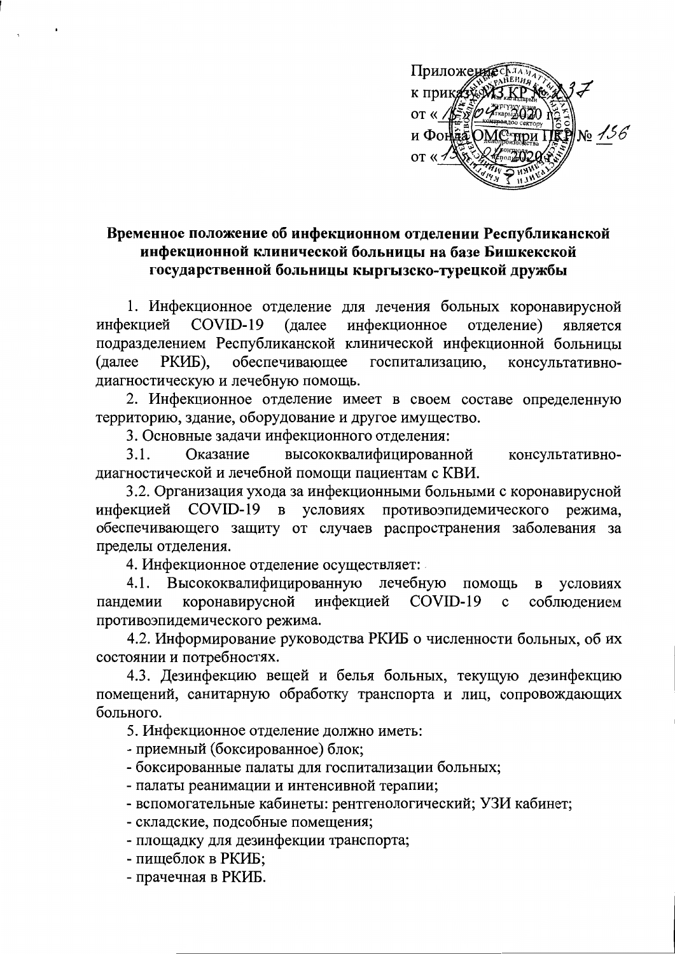

# Временное положение об инфекционном отделении Республиканской инфекционной клинической больницы на базе Бишкекской государственной больницы кыргызско-турецкой дружбы

1. Инфекционное отделение для лечения больных коронавирусной инфекцией COVID-19 (далее инфекционное отделение) является подразделением Республиканской клинической инфекционной больницы обеспечивающее (далее РКИБ). госпитализацию, консультативнодиагностическую и лечебную помощь.

2. Инфекционное отделение имеет в своем составе определенную территорию, здание, оборудование и другое имущество.

3. Основные задачи инфекционного отделения:

высококвалифицированной  $3.1.$ Оказание консультативнодиагностической и лечебной помощи пациентам с КВИ.

3.2. Организация ухода за инфекционными больными с коронавирусной инфекцией COVID-19 в условиях противоэпидемического режима. обеспечивающего защиту от случаев распространения заболевания за пределы отделения.

4. Инфекционное отделение осуществляет:

лечебную помощь Высококвалифицированную 4.1. условиях  $\, {\bf B}$ коронавирусной COVID-19 инфекцией  $\mathbf{c}$ соблюдением пандемии противоэпидемического режима.

4.2. Информирование руководства РКИБ о численности больных, об их состоянии и потребностях.

4.3. Дезинфекцию вещей и белья больных, текущую дезинфекцию помещений, санитарную обработку транспорта и лиц, сопровождающих больного.

5. Инфекционное отделение должно иметь:

- приемный (боксированное) блок;

- боксированные палаты для госпитализации больных;
- палаты реанимации и интенсивной терапии;
- вспомогательные кабинеты: рентгенологический; УЗИ кабинет;
- складские, подсобные помещения;
- площадку для дезинфекции транспорта;
- пищеблок в РКИБ;
- прачечная в РКИБ.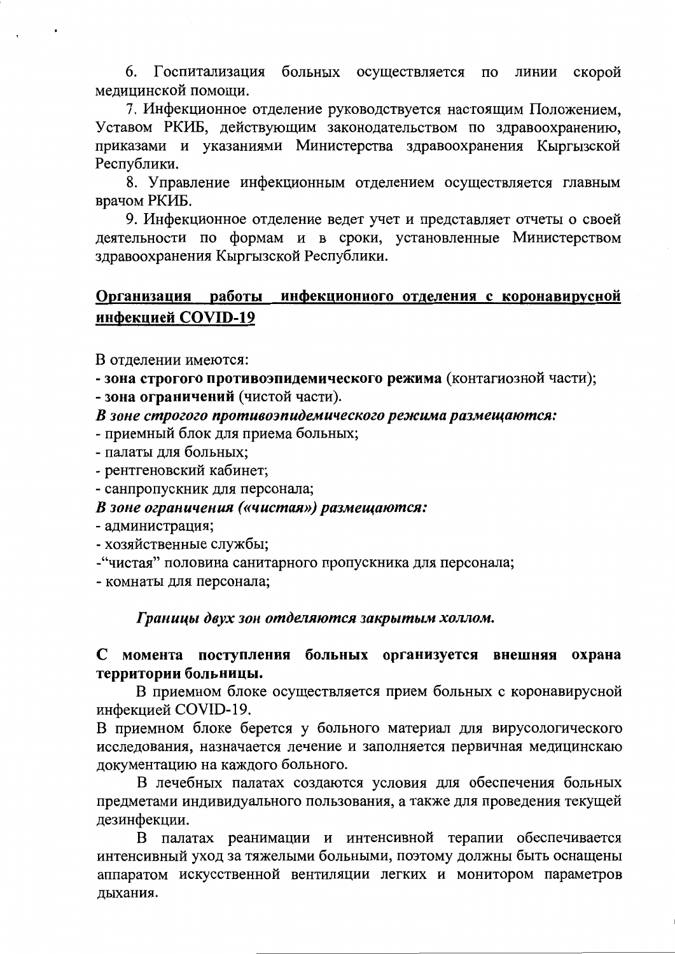6. Госпитализация больных осуществляется по линии скорой мелицинской помощи.

7. Инфекционное отделение руководствуется настоящим Положением, Уставом РКИБ, действующим законодательством по здравоохранению, приказами и указаниями Министерства здравоохранения Кыргызской Республики.

8. Управление инфекционным отделением осуществляется главным врачом РКИБ.

9. Инфекционное отделение ведет учет и представляет отчеты о своей деятельности по формам и в сроки, установленные Министерством здравоохранения Кыргызской Республики.

#### Организация работы инфекционного отделения с коронавирусной инфекцией COVID-19

В отделении имеются:

- зона строгого противоэпидемического режима (контагиозной части);

- зона ограничений (чистой части).

В зоне строгого противоэпидемического режима размещаются:

- приемный блок для приема больных;

- палаты для больных;

- рентгеновский кабинет;

- санпропускник для персонала;

В зоне ограничения («чистая») размещаются:

- администрация;

- хозяйственные службы;

- "чистая" половина санитарного пропускника для персонала;

- комнаты для персонала;

Границы двух зон отделяются закрытым холлом.

### С момента поступления больных организуется внешняя охрана территории больницы.

В приемном блоке осуществляется прием больных с коронавирусной инфекцией COVID-19.

В приемном блоке берется у больного материал для вирусологического исследования, назначается лечение и заполняется первичная медицинскаю документацию на каждого больного.

В лечебных палатах создаются условия для обеспечения больных предметами индивидуального пользования, а также для проведения текущей дезинфекции.

В палатах реанимации и интенсивной терапии обеспечивается интенсивный уход за тяжелыми больными, поэтому должны быть оснащены аппаратом искусственной вентиляции легких и монитором параметров лыхания.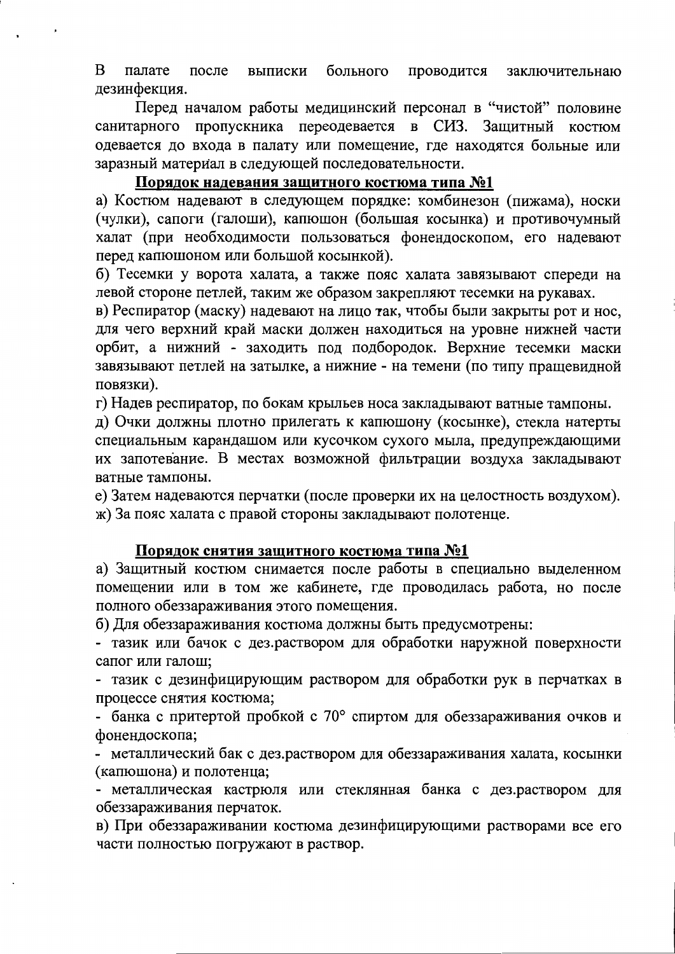$\overline{B}$ больного проводится заключительнаю палате после выписки дезинфекция.

Перед началом работы медицинский персонал в "чистой" половине санитарного пропускника переодевается в СИЗ. Защитный костюм одевается до входа в палату или помещение, где находятся больные или заразный материал в следующей последовательности.

## Порядок надевания защитного костюма типа №1

а) Костюм надевают в следующем порядке: комбинезон (пижама), носки (чулки), сапоги (галоши), капющон (большая косынка) и противочумный халат (при необходимости пользоваться фонендоскопом, его надевают перед капюшоном или большой косынкой).

б) Тесемки у ворота халата, а также пояс халата завязывают спереди на левой стороне петлей, таким же образом закрепляют тесемки на рукавах.

в) Респиратор (маску) надевают на лицо так, чтобы были закрыты рот и нос, для чего верхний край маски должен находиться на уровне нижней части орбит, а нижний - заходить под подбородок. Верхние тесемки маски завязывают петлей на затылке, а нижние - на темени (по типу пращевидной повязки).

г) Надев респиратор, по бокам крыльев носа закладывают ватные тампоны.

д) Очки должны плотно прилегать к капюшону (косынке), стекла натерты специальным карандашом или кусочком сухого мыла, предупреждающими их запотевание. В местах возможной фильтрации воздуха закладывают ватные тампоны.

е) Затем надеваются перчатки (после проверки их на целостность воздухом). ж) За пояс халата с правой стороны закладывают полотенце.

### Порядок снятия защитного костюма типа №1

а) Защитный костюм снимается после работы в специально выделенном помещении или в том же кабинете, где проводилась работа, но после полного обеззараживания этого помещения.

б) Для обеззараживания костюма должны быть предусмотрены:

- тазик или бачок с дез.раствором для обработки наружной поверхности сапог или галош;

- тазик с дезинфицирующим раствором для обработки рук в перчатках в процессе снятия костюма;

- банка с притертой пробкой с 70° спиртом для обеззараживания очков и фонендоскопа;

- металлический бак с дез.раствором для обеззараживания халата, косынки (капюшона) и полотенца;

- металлическая кастрюля или стеклянная банка с дез.раствором для обеззараживания перчаток.

в) При обеззараживании костюма дезинфицирующими растворами все его части полностью погружают в раствор.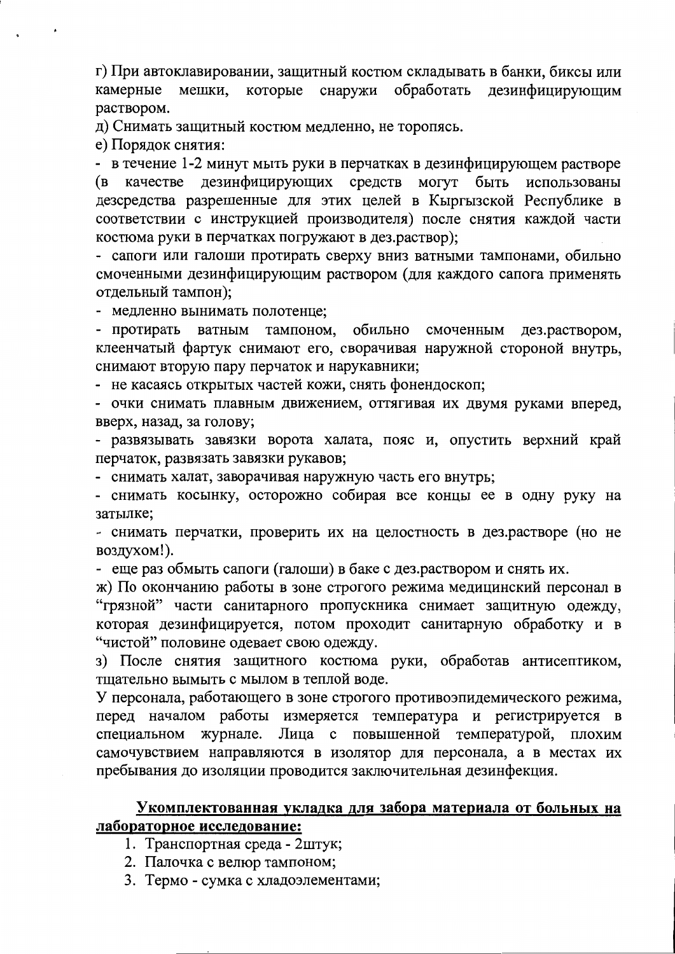г) При автоклавировании, защитный костюм складывать в банки, биксы или камерные мешки, которые снаружи обработать дезинфицирующим раствором.

д) Снимать защитный костюм медленно, не торопясь.

е) Порядок снятия:

- в течение 1-2 минут мыть руки в перчатках в дезинфицирующем растворе (в качестве дезинфицирующих средств могут быть использованы дезсредства разрешенные для этих целей в Кыргызской Республике в соответствии с инструкцией производителя) после снятия каждой части костюма руки в перчатках погружают в дез.раствор);

- сапоги или галоши протирать сверху вниз ватными тампонами, обильно смоченными дезинфицирующим раствором (для каждого сапога применять отдельный тампон);

- медленно вынимать полотенце;

тампоном, обильно смоченным - протирать ватным дез.раствором, клеенчатый фартук снимают его, сворачивая наружной стороной внутрь, снимают вторую пару перчаток и нарукавники;

- не касаясь открытых частей кожи, снять фонендоскоп;

- очки снимать плавным движением, оттягивая их двумя руками вперед, вверх, назад, за голову;

- развязывать завязки ворота халата, пояс и, опустить верхний край перчаток, развязать завязки рукавов;

- снимать халат, заворачивая наружную часть его внутрь;

- снимать косынку, осторожно собирая все концы ее в одну руку на затылке;

- снимать перчатки, проверить их на целостность в дез.растворе (но не воздухом!).

- еще раз обмыть сапоги (галоши) в баке с дез.раствором и снять их.

ж) По окончанию работы в зоне строгого режима медицинский персонал в "грязной" части санитарного пропускника снимает защитную одежду, которая дезинфицируется, потом проходит санитарную обработку и в "чистой" половине одевает свою одежду.

з) После снятия защитного костюма руки, обработав антисептиком, тщательно вымыть с мылом в теплой воде.

У персонала, работающего в зоне строгого противоэпидемического режима, перед началом работы измеряется температура и регистрируется в журнале. Лица с повышенной температурой, плохим специальном самочувствием направляются в изолятор для персонала, а в местах их пребывания до изоляции проводится заключительная дезинфекция.

### Укомплектованная укладка для забора материала от больных на лабораторное исследование:

- 1. Транспортная среда 2штук;
- 2. Палочка с велюр тампоном;
- 3. Термо сумка с хладоэлементами;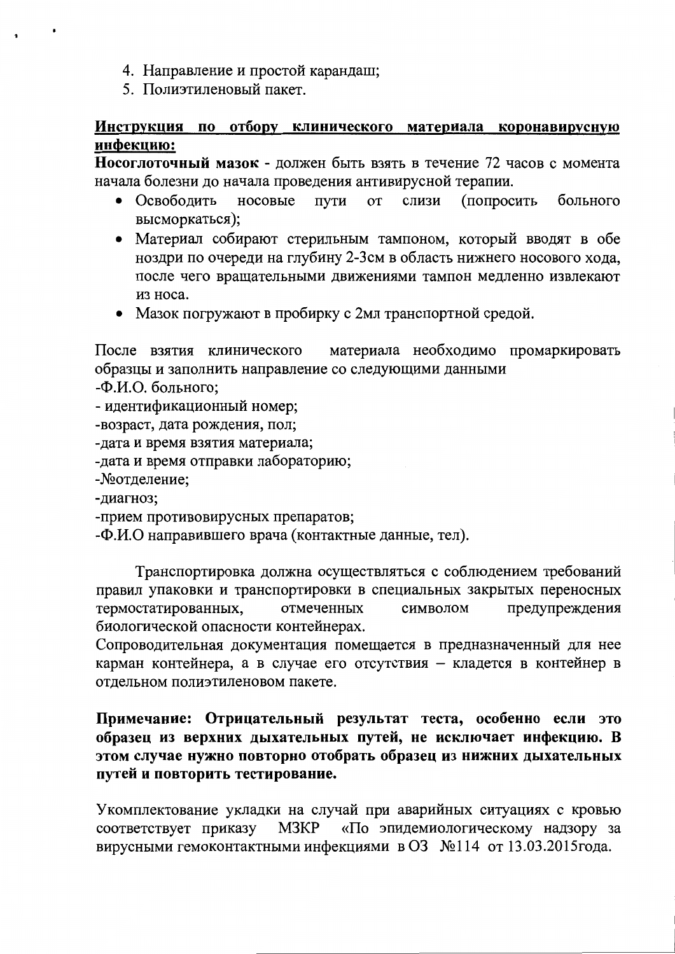- 4. Направление и простой карандаш;
- 5. Полиэтиленовый пакет.

# Инструкция по отбору клинического материала коронавирусную инфекцию:

Носоглоточный мазок - должен быть взять в течение 72 часов с момента начала болезни до начала проведения антивирусной терапии.

- **(попросить** • Освободить носовые ПУТИ **OT** слизи больного высморкаться);
- Материал собирают стерильным тампоном, который вводят в обе ноздри по очереди на глубину 2-3см в область нижнего носового хода, после чего вращательными движениями тампон медленно извлекают из носа.
- Мазок погружают в пробирку с 2мл транспортной средой.

После взятия клинического материала необходимо промаркировать образцы и заполнить направление со следующими данными

- -Ф.И.О. больного;
- идентификационный номер;
- -возраст, дата рождения, пол;
- -дата и время взятия материала;
- -дата и время отправки лабораторию;
- Мотделение;
- -диагноз;
- -прием противовирусных препаратов;
- -Ф.И.О направившего врача (контактные данные, тел).

Транспортировка должна осуществляться с соблюдением требований правил упаковки и транспортировки в специальных закрытых переносных термостатированных, отмеченных символом предупреждения биологической опасности контейнерах.

Сопроводительная документация помещается в предназначенный для нее карман контейнера, а в случае его отсутствия - кладется в контейнер в отдельном полиэтиленовом пакете.

# Примечание: Отрицательный результат теста, особенно если это образец из верхних дыхательных путей, не исключает инфекцию. В этом случае нужно повторно отобрать образец из нижних дыхательных путей и повторить тестирование.

Укомплектование укладки на случай при аварийных ситуациях с кровью M3KP «По эпидемиологическому надзору за соответствует приказу вирусными гемоконтактными инфекциями в ОЗ №114 от 13.03.2015 года.